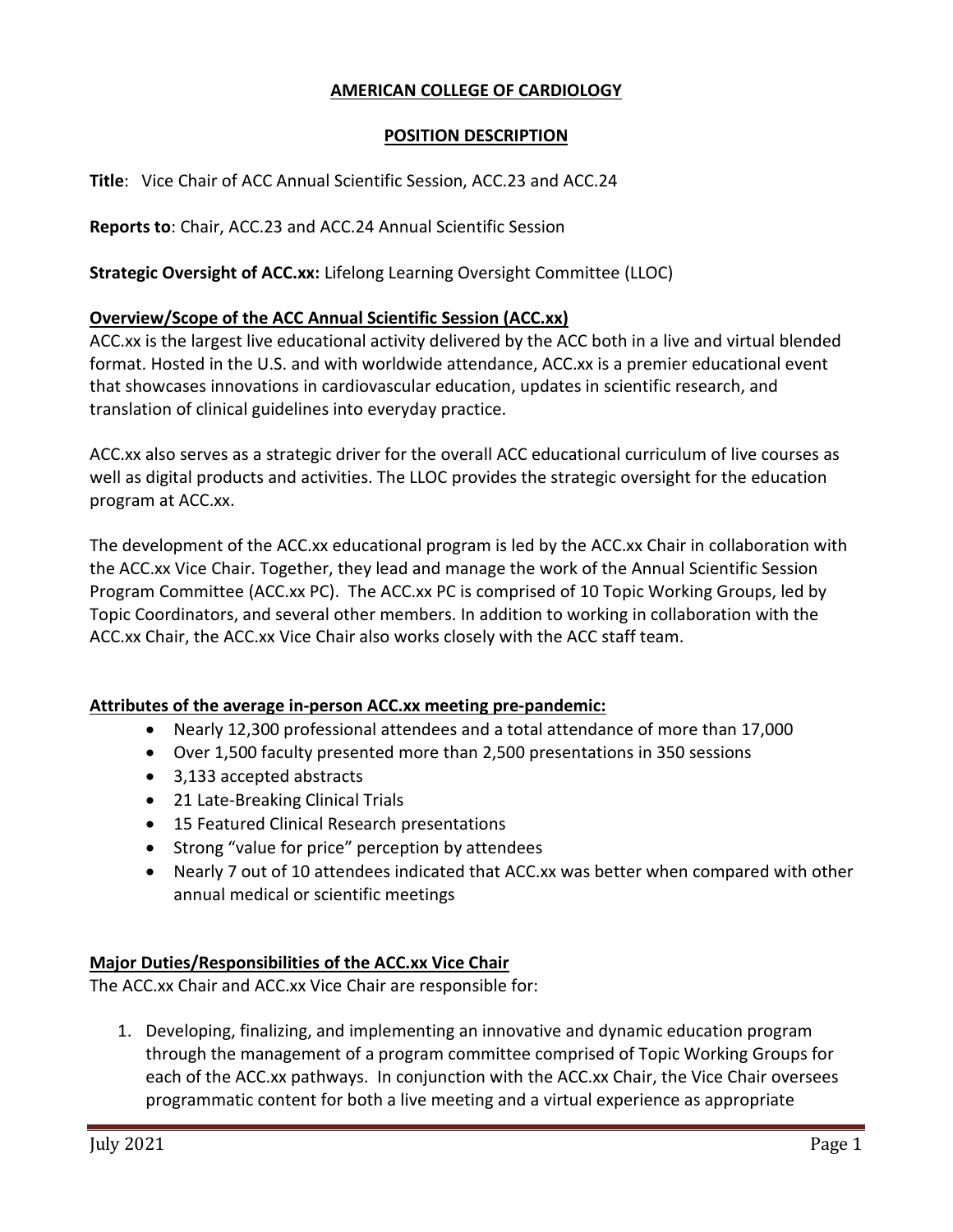# **AMERICAN COLLEGE OF CARDIOLOGY**

## **POSITION DESCRIPTION**

**Title**: Vice Chair of ACC Annual Scientific Session, ACC.23 and ACC.24

**Reports to**: Chair, ACC.23 and ACC.24 Annual Scientific Session

**Strategic Oversight of ACC.xx:** Lifelong Learning Oversight Committee (LLOC)

### **Overview/Scope of the ACC Annual Scientific Session (ACC.xx)**

ACC.xx is the largest live educational activity delivered by the ACC both in a live and virtual blended format. Hosted in the U.S. and with worldwide attendance, ACC.xx is a premier educational event that showcases innovations in cardiovascular education, updates in scientific research, and translation of clinical guidelines into everyday practice.

ACC.xx also serves as a strategic driver for the overall ACC educational curriculum of live courses as well as digital products and activities. The LLOC provides the strategic oversight for the education program at ACC.xx.

The development of the ACC.xx educational program is led by the ACC.xx Chair in collaboration with the ACC.xx Vice Chair. Together, they lead and manage the work of the Annual Scientific Session Program Committee (ACC.xx PC). The ACC.xx PC is comprised of 10 Topic Working Groups, led by Topic Coordinators, and several other members. In addition to working in collaboration with the ACC.xx Chair, the ACC.xx Vice Chair also works closely with the ACC staff team.

### **Attributes of the average in-person ACC.xx meeting pre-pandemic:**

- Nearly 12,300 professional attendees and a total attendance of more than 17,000
- Over 1,500 faculty presented more than 2,500 presentations in 350 sessions
- 3,133 accepted abstracts
- 21 Late-Breaking Clinical Trials
- 15 Featured Clinical Research presentations
- Strong "value for price" perception by attendees
- Nearly 7 out of 10 attendees indicated that ACC.xx was better when compared with other annual medical or scientific meetings

#### **Major Duties/Responsibilities of the ACC.xx Vice Chair**

The ACC.xx Chair and ACC.xx Vice Chair are responsible for:

1. Developing, finalizing, and implementing an innovative and dynamic education program through the management of a program committee comprised of Topic Working Groups for each of the ACC.xx pathways. In conjunction with the ACC.xx Chair, the Vice Chair oversees programmatic content for both a live meeting and a virtual experience as appropriate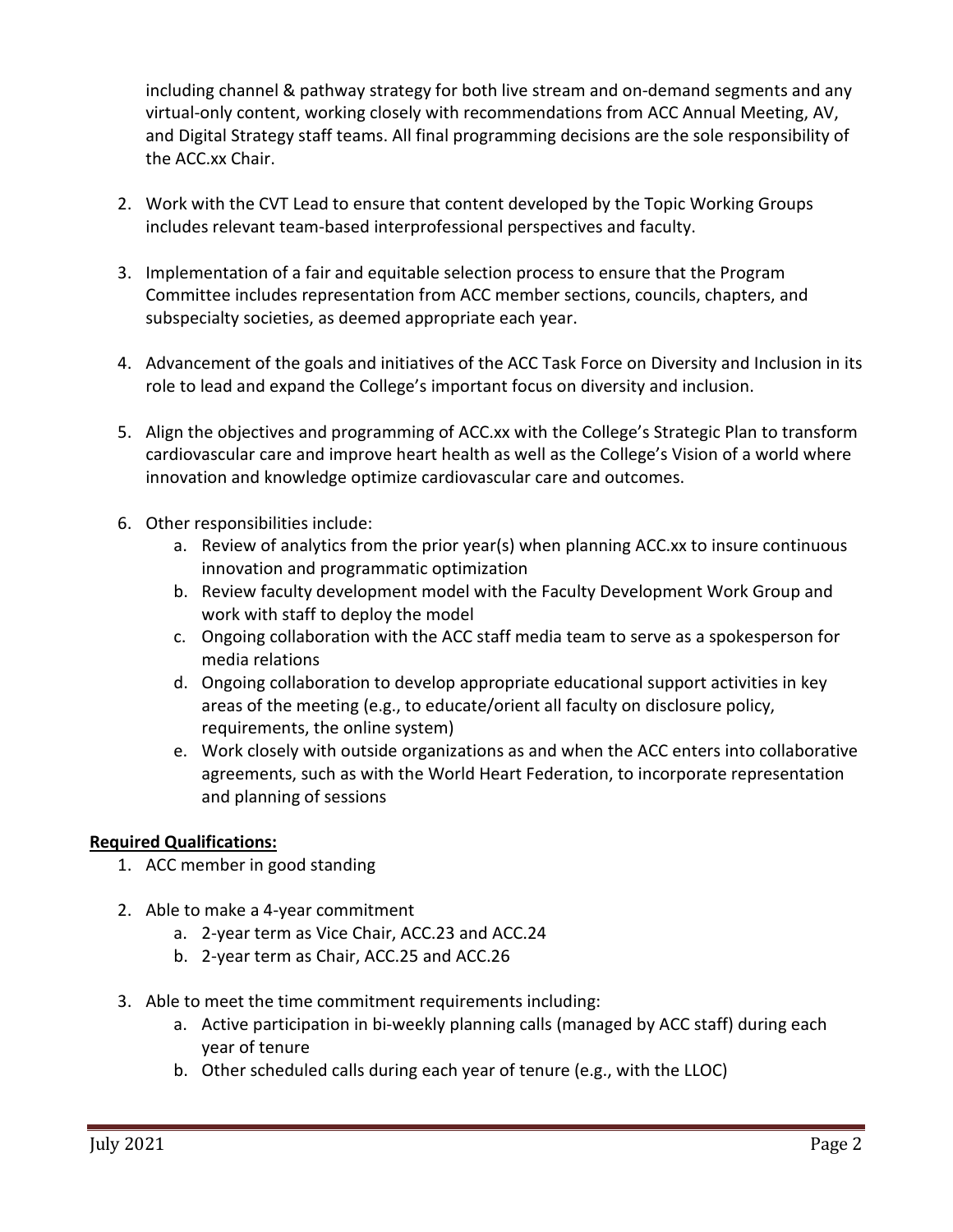including channel & pathway strategy for both live stream and on-demand segments and any virtual-only content, working closely with recommendations from ACC Annual Meeting, AV, and Digital Strategy staff teams. All final programming decisions are the sole responsibility of the ACC.xx Chair.

- 2. Work with the CVT Lead to ensure that content developed by the Topic Working Groups includes relevant team-based interprofessional perspectives and faculty.
- 3. Implementation of a fair and equitable selection process to ensure that the Program Committee includes representation from ACC member sections, councils, chapters, and subspecialty societies, as deemed appropriate each year.
- 4. Advancement of the goals and initiatives of the ACC Task Force on Diversity and Inclusion in its role to lead and expand the College's important focus on diversity and inclusion.
- 5. Align the objectives and programming of ACC.xx with the College's Strategic Plan to transform cardiovascular care and improve heart health as well as the College's Vision of a world where innovation and knowledge optimize cardiovascular care and outcomes.
- 6. Other responsibilities include:
	- a. Review of analytics from the prior year(s) when planning ACC.xx to insure continuous innovation and programmatic optimization
	- b. Review faculty development model with the Faculty Development Work Group and work with staff to deploy the model
	- c. Ongoing collaboration with the ACC staff media team to serve as a spokesperson for media relations
	- d. Ongoing collaboration to develop appropriate educational support activities in key areas of the meeting (e.g., to educate/orient all faculty on disclosure policy, requirements, the online system)
	- e. Work closely with outside organizations as and when the ACC enters into collaborative agreements, such as with the World Heart Federation, to incorporate representation and planning of sessions

# **Required Qualifications:**

- 1. ACC member in good standing
- 2. Able to make a 4-year commitment
	- a. 2-year term as Vice Chair, ACC.23 and ACC.24
	- b. 2-year term as Chair, ACC.25 and ACC.26
- 3. Able to meet the time commitment requirements including:
	- a. Active participation in bi-weekly planning calls (managed by ACC staff) during each year of tenure
	- b. Other scheduled calls during each year of tenure (e.g., with the LLOC)